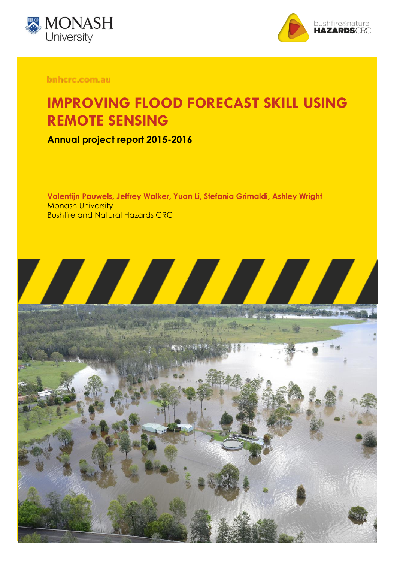



bnhcrc.com.au

## **IMPROVING FLOOD FORECAST SKILL USING REMOTE SENSING**

**Annual project report 2015-2016**

**Valentijn Pauwels, Jeffrey Walker, Yuan Li, Stefania Grimaldi, Ashley Wright Monash University** Bushfire and Natural Hazards CRC

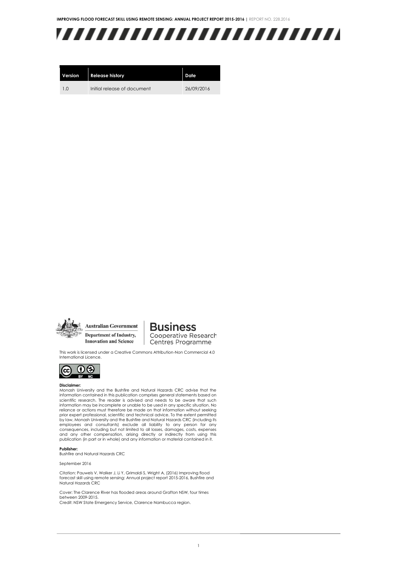

| Version        | <b>Release history</b>      | Date       |
|----------------|-----------------------------|------------|
| 1 <sub>0</sub> | Initial release of document | 26/09/2016 |



**Australian Government** Department of Industry, **Innovation and Science** 

#### **Business** Cooperative Research Centres Programme

This work is licensed under a Creative Commons Attribution-Non Commercial 4.0 International Licence.



#### **Disclaimer:**

Monash University and the Bushfire and Natural Hazards CRC advise that the information contained in this publication comprises general statements based on scientific research. The reader is advised and needs to be aware that such information may be incomplete or unable to be used in any specific situation. No reliance or actions must therefore be made on that information without seeking prior expert professional, scientific and technical advice. To the extent permitted by law, Monash University and the Bushfire and Natural Hazards CRC (including its employees and consultants) exclude all liability to any person for any consequences, including but not limited to all losses, damages, costs, expenses and any other compensation, arising directly or indirectly from using this publication (in part or in whole) and any information or material contained in it.

#### **Publisher:**

Bushfire and Natural Hazards CRC

September 2016

Citation: Pauwels V, Walker J, Li Y, Grimaldi S, Wright A, (2016) Improving flood forecast skill using remote sensing: Annual project report 2015-2016, Bushfire and Natural Hazards CRC

Cover: The Clarence River has flooded areas around Grafton NSW, four times between 2009-2015. Credit: NSW State Emergency Service, Clarence Nambucca region.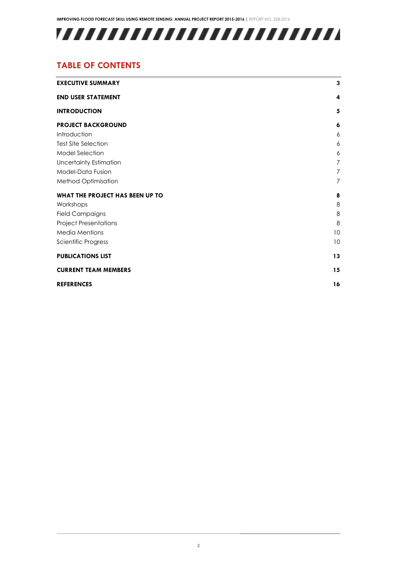

## **TABLE OF CONTENTS**

| <b>EXECUTIVE SUMMARY</b>        | 3              |  |
|---------------------------------|----------------|--|
| <b>END USER STATEMENT</b>       | 4              |  |
| <b>INTRODUCTION</b>             | 5              |  |
| <b>PROJECT BACKGROUND</b>       | 6              |  |
| Introduction                    | 6              |  |
| <b>Test Site Selection</b>      | 6              |  |
| <b>Model Selection</b>          | 6              |  |
| <b>Uncertainty Estimation</b>   | 7              |  |
| Model-Data Fusion               | 7              |  |
| Method Optimisation             | $\overline{7}$ |  |
| WHAT THE PROJECT HAS BEEN UP TO | 8              |  |
| Workshops                       | 8              |  |
| <b>Field Campaigns</b>          | 8              |  |
| <b>Project Presentations</b>    | 8              |  |
| <b>Media Mentions</b>           | 10             |  |
| Scientific Progress             | 10             |  |
| <b>PUBLICATIONS LIST</b>        | 13             |  |
| <b>CURRENT TEAM MEMBERS</b>     |                |  |
| <b>REFERENCES</b>               | 16             |  |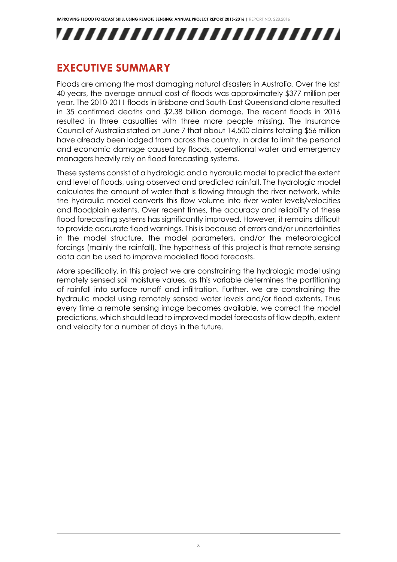# ,,,,,,,,,,,,,,,,,,,,,,,,,,

## <span id="page-3-0"></span>**EXECUTIVE SUMMARY**

Floods are among the most damaging natural disasters in Australia. Over the last 40 years, the average annual cost of floods was approximately \$377 million per year. The 2010-2011 floods in Brisbane and South-East Queensland alone resulted in 35 confirmed deaths and \$2.38 billion damage. The recent floods in 2016 resulted in three casualties with three more people missing. The Insurance Council of Australia stated on June 7 that about 14,500 claims totaling \$56 million have already been lodged from across the country. In order to limit the personal and economic damage caused by floods, operational water and emergency managers heavily rely on flood forecasting systems.

These systems consist of a hydrologic and a hydraulic model to predict the extent and level of floods, using observed and predicted rainfall. The hydrologic model calculates the amount of water that is flowing through the river network, while the hydraulic model converts this flow volume into river water levels/velocities and floodplain extents. Over recent times, the accuracy and reliability of these flood forecasting systems has significantly improved. However, it remains difficult to provide accurate flood warnings. This is because of errors and/or uncertainties in the model structure, the model parameters, and/or the meteorological forcings (mainly the rainfall). The hypothesis of this project is that remote sensing data can be used to improve modelled flood forecasts.

More specifically, in this project we are constraining the hydrologic model using remotely sensed soil moisture values, as this variable determines the partitioning of rainfall into surface runoff and infiltration. Further, we are constraining the hydraulic model using remotely sensed water levels and/or flood extents. Thus every time a remote sensing image becomes available, we correct the model predictions, which should lead to improved model forecasts of flow depth, extent and velocity for a number of days in the future.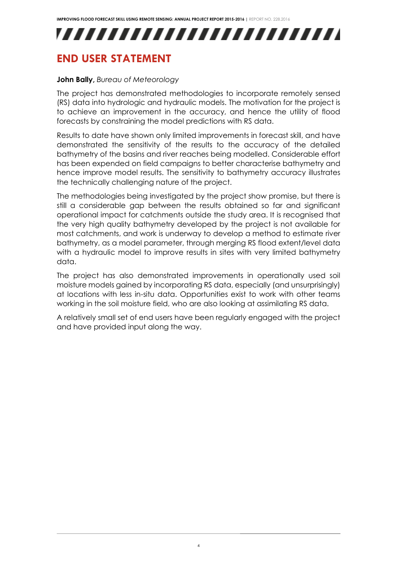## <span id="page-4-0"></span>**END USER STATEMENT**

#### **John Bally,** *Bureau of Meteorology*

The project has demonstrated methodologies to incorporate remotely sensed (RS) data into hydrologic and hydraulic models. The motivation for the project is to achieve an improvement in the accuracy, and hence the utility of flood forecasts by constraining the model predictions with RS data.

Results to date have shown only limited improvements in forecast skill, and have demonstrated the sensitivity of the results to the accuracy of the detailed bathymetry of the basins and river reaches being modelled. Considerable effort has been expended on field campaigns to better characterise bathymetry and hence improve model results. The sensitivity to bathymetry accuracy illustrates the technically challenging nature of the project.

The methodologies being investigated by the project show promise, but there is still a considerable gap between the results obtained so far and significant operational impact for catchments outside the study area. It is recognised that the very high quality bathymetry developed by the project is not available for most catchments, and work is underway to develop a method to estimate river bathymetry, as a model parameter, through merging RS flood extent/level data with a hydraulic model to improve results in sites with very limited bathymetry data.

The project has also demonstrated improvements in operationally used soil moisture models gained by incorporating RS data, especially (and unsurprisingly) at locations with less in-situ data. Opportunities exist to work with other teams working in the soil moisture field, who are also looking at assimilating RS data.

A relatively small set of end users have been regularly engaged with the project and have provided input along the way.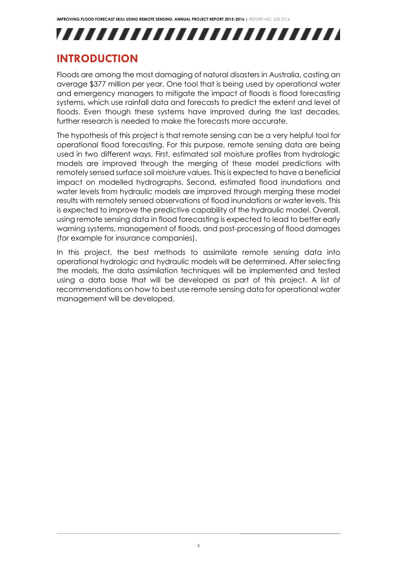# ,,,,,,,,,,,,,,,,,,,,,,,,,,

## <span id="page-5-0"></span>**INTRODUCTION**

Floods are among the most damaging of natural disasters in Australia, costing an average \$377 million per year. One tool that is being used by operational water and emergency managers to mitigate the impact of floods is flood forecasting systems, which use rainfall data and forecasts to predict the extent and level of floods. Even though these systems have improved during the last decades, further research is needed to make the forecasts more accurate.

The hypothesis of this project is that remote sensing can be a very helpful tool for operational flood forecasting. For this purpose, remote sensing data are being used in two different ways. First, estimated soil moisture profiles from hydrologic models are improved through the merging of these model predictions with remotely sensed surface soil moisture values. This is expected to have a beneficial impact on modelled hydrographs. Second, estimated flood inundations and water levels from hydraulic models are improved through merging these model results with remotely sensed observations of flood inundations or water levels. This is expected to improve the predictive capability of the hydraulic model. Overall, using remote sensing data in flood forecasting is expected to lead to better early warning systems, management of floods, and post-processing of flood damages (for example for insurance companies).

In this project, the best methods to assimilate remote sensing data into operational hydrologic and hydraulic models will be determined. After selecting the models, the data assimilation techniques will be implemented and tested using a data base that will be developed as part of this project. A list of recommendations on how to best use remote sensing data for operational water management will be developed.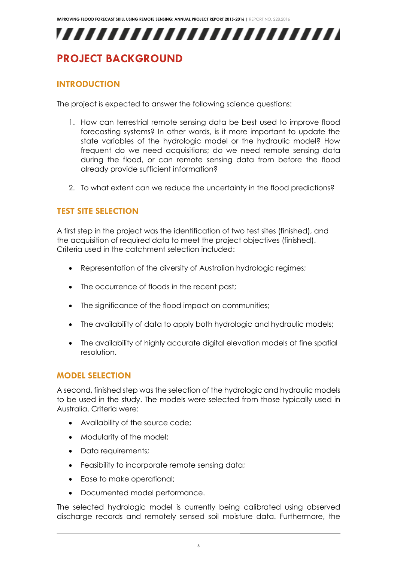## <span id="page-6-0"></span>**PROJECT BACKGROUND**

## <span id="page-6-1"></span>**INTRODUCTION**

The project is expected to answer the following science questions:

- 1. How can terrestrial remote sensing data be best used to improve flood forecasting systems? In other words, is it more important to update the state variables of the hydrologic model or the hydraulic model? How frequent do we need acquisitions; do we need remote sensing data during the flood, or can remote sensing data from before the flood already provide sufficient information?
- 2. To what extent can we reduce the uncertainty in the flood predictions?

## <span id="page-6-2"></span>**TEST SITE SELECTION**

A first step in the project was the identification of two test sites (finished), and the acquisition of required data to meet the project objectives (finished). Criteria used in the catchment selection included:

- Representation of the diversity of Australian hydrologic regimes;
- The occurrence of floods in the recent past;
- The significance of the flood impact on communities;
- The availability of data to apply both hydrologic and hydraulic models;
- The availability of highly accurate digital elevation models at fine spatial resolution.

#### <span id="page-6-3"></span>**MODEL SELECTION**

A second, finished step was the selection of the hydrologic and hydraulic models to be used in the study. The models were selected from those typically used in Australia. Criteria were:

- Availability of the source code;
- Modularity of the model;
- Data requirements;
- Feasibility to incorporate remote sensing data;
- Ease to make operational;
- Documented model performance.

The selected hydrologic model is currently being calibrated using observed discharge records and remotely sensed soil moisture data. Furthermore, the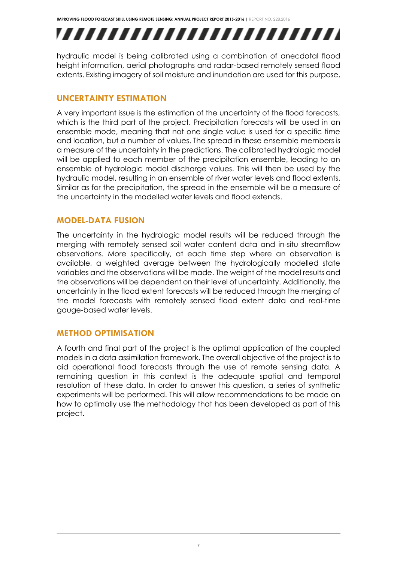# ,,,,,,,,,,,,,,,,,,,,,,,,,

hydraulic model is being calibrated using a combination of anecdotal flood height information, aerial photographs and radar-based remotely sensed flood extents. Existing imagery of soil moisture and inundation are used for this purpose.

## <span id="page-7-0"></span>**UNCERTAINTY ESTIMATION**

A very important issue is the estimation of the uncertainty of the flood forecasts, which is the third part of the project. Precipitation forecasts will be used in an ensemble mode, meaning that not one single value is used for a specific time and location, but a number of values. The spread in these ensemble members is a measure of the uncertainty in the predictions. The calibrated hydrologic model will be applied to each member of the precipitation ensemble, leading to an ensemble of hydrologic model discharge values. This will then be used by the hydraulic model, resulting in an ensemble of river water levels and flood extents. Similar as for the precipitation, the spread in the ensemble will be a measure of the uncertainty in the modelled water levels and flood extends.

## <span id="page-7-1"></span>**MODEL-DATA FUSION**

The uncertainty in the hydrologic model results will be reduced through the merging with remotely sensed soil water content data and in-situ streamflow observations. More specifically, at each time step where an observation is available, a weighted average between the hydrologically modelled state variables and the observations will be made. The weight of the model results and the observations will be dependent on their level of uncertainty. Additionally, the uncertainty in the flood extent forecasts will be reduced through the merging of the model forecasts with remotely sensed flood extent data and real-time gauge-based water levels.

## <span id="page-7-2"></span>**METHOD OPTIMISATION**

A fourth and final part of the project is the optimal application of the coupled models in a data assimilation framework. The overall objective of the project is to aid operational flood forecasts through the use of remote sensing data. A remaining question in this context is the adequate spatial and temporal resolution of these data. In order to answer this question, a series of synthetic experiments will be performed. This will allow recommendations to be made on how to optimally use the methodology that has been developed as part of this project.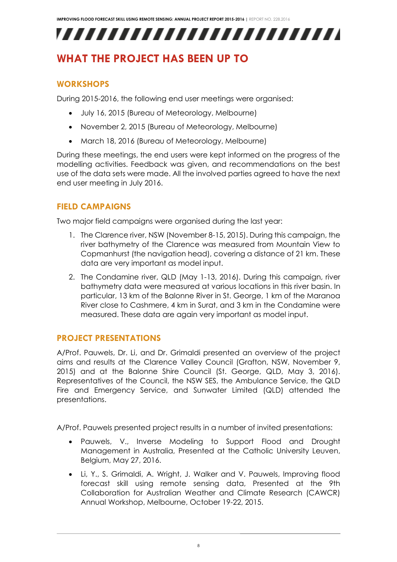## <span id="page-8-0"></span>**WHAT THE PROJECT HAS BEEN UP TO**

## <span id="page-8-1"></span>**WORKSHOPS**

During 2015-2016, the following end user meetings were organised:

- July 16, 2015 (Bureau of Meteorology, Melbourne)
- November 2, 2015 (Bureau of Meteorology, Melbourne)
- March 18, 2016 (Bureau of Meteorology, Melbourne)

During these meetings, the end users were kept informed on the progress of the modelling activities. Feedback was given, and recommendations on the best use of the data sets were made. All the involved parties agreed to have the next end user meeting in July 2016.

## <span id="page-8-2"></span>**FIELD CAMPAIGNS**

Two major field campaigns were organised during the last year:

- 1. The Clarence river, NSW (November 8-15, 2015). During this campaign, the river bathymetry of the Clarence was measured from Mountain View to Copmanhurst (the navigation head), covering a distance of 21 km. These data are very important as model input.
- 2. The Condamine river, QLD (May 1-13, 2016). During this campaign, river bathymetry data were measured at various locations in this river basin. In particular, 13 km of the Balonne River in St. George, 1 km of the Maranoa River close to Cashmere, 4 km in Surat, and 3 km in the Condamine were measured. These data are again very important as model input.

## <span id="page-8-3"></span>**PROJECT PRESENTATIONS**

A/Prof. Pauwels, Dr. Li, and Dr. Grimaldi presented an overview of the project aims and results at the Clarence Valley Council (Grafton, NSW, November 9, 2015) and at the Balonne Shire Council (St. George, QLD, May 3, 2016). Representatives of the Council, the NSW SES, the Ambulance Service, the QLD Fire and Emergency Service, and Sunwater Limited (QLD) attended the presentations.

A/Prof. Pauwels presented project results in a number of invited presentations:

- Pauwels, V., Inverse Modeling to Support Flood and Drought Management in Australia, Presented at the Catholic University Leuven, Belgium, May 27, 2016.
- Li, Y., S. Grimaldi, A. Wright, J. Walker and V. Pauwels, Improving flood forecast skill using remote sensing data, Presented at the 9th Collaboration for Australian Weather and Climate Research (CAWCR) Annual Workshop, Melbourne, October 19-22, 2015.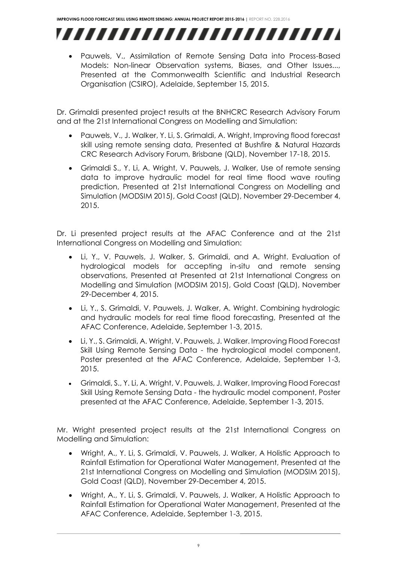

 Pauwels, V., Assimilation of Remote Sensing Data into Process-Based Models: Non-linear Observation systems, Biases, and Other Issues..., Presented at the Commonwealth Scientific and Industrial Research Organisation (CSIRO), Adelaide, September 15, 2015.

Dr. Grimaldi presented project results at the BNHCRC Research Advisory Forum and at the 21st International Congress on Modelling and Simulation:

- Pauwels, V., J. Walker, Y. Li, S. Grimaldi, A. Wright, Improving flood forecast skill using remote sensing data, Presented at Bushfire & Natural Hazards CRC Research Advisory Forum, Brisbane (QLD), November 17-18, 2015.
- Grimaldi S., Y. Li, A. Wright, V. Pauwels, J. Walker, Use of remote sensing data to improve hydraulic model for real time flood wave routing prediction, Presented at 21st International Congress on Modelling and Simulation (MODSIM 2015), Gold Coast (QLD), November 29-December 4, 2015.

Dr. Li presented project results at the AFAC Conference and at the 21st International Congress on Modelling and Simulation:

- Li, Y., V. Pauwels, J. Walker, S. Grimaldi, and A. Wright. Evaluation of hydrological models for accepting in-situ and remote sensing observations, Presented at Presented at 21st International Congress on Modelling and Simulation (MODSIM 2015), Gold Coast (QLD), November 29-December 4, 2015.
- Li, Y., S. Grimaldi, V. Pauwels, J. Walker, A. Wright. Combining hydrologic and hydraulic models for real time flood forecasting, Presented at the AFAC Conference, Adelaide, September 1-3, 2015.
- Li, Y., S. Grimaldi, A. Wright, V. Pauwels, J. Walker. Improving Flood Forecast Skill Using Remote Sensing Data - the hydrological model component, Poster presented at the AFAC Conference, Adelaide, September 1-3, 2015.
- Grimaldi, S., Y. Li, A. Wright, V. Pauwels, J. Walker, Improving Flood Forecast Skill Using Remote Sensing Data - the hydraulic model component, Poster presented at the AFAC Conference, Adelaide, September 1-3, 2015.

Mr. Wright presented project results at the 21st International Congress on Modelling and Simulation:

- Wright, A., Y. Li, S. Grimaldi, V. Pauwels, J. Walker, A Holistic Approach to Rainfall Estimation for Operational Water Management, Presented at the 21st International Congress on Modelling and Simulation (MODSIM 2015), Gold Coast (QLD), November 29-December 4, 2015.
- Wright, A., Y. Li, S. Grimaldi, V. Pauwels, J. Walker, A Holistic Approach to Rainfall Estimation for Operational Water Management, Presented at the AFAC Conference, Adelaide, September 1-3, 2015.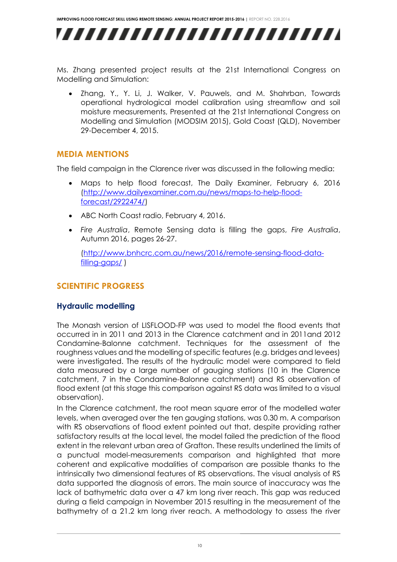,,,,,,,,,,,,,,,,,,,,,,,,,,

Ms. Zhang presented project results at the 21st International Congress on Modelling and Simulation:

 Zhang, Y., Y. Li, J. Walker, V. Pauwels, and M. Shahrban, Towards operational hydrological model calibration using streamflow and soil moisture measurements, Presented at the 21st International Congress on Modelling and Simulation (MODSIM 2015), Gold Coast (QLD), November 29-December 4, 2015.

### <span id="page-10-0"></span>**MEDIA MENTIONS**

The field campaign in the Clarence river was discussed in the following media:

- Maps to help flood forecast, The Daily Examiner, February 6, 2016 [\(http://www.dailyexaminer.com.au/news/maps-to-help-flood](http://www.dailyexaminer.com.au/news/maps-to-help-flood-forecast/2922474/)[forecast/2922474/\)](http://www.dailyexaminer.com.au/news/maps-to-help-flood-forecast/2922474/)
- ABC North Coast radio, February 4, 2016.
- *Fire Australia*, Remote Sensing data is filling the gaps, *Fire Australia*, Autumn 2016, pages 26-27.

[\(http://www.bnhcrc.com.au/news/2016/remote-sensing-flood-data](http://www.bnhcrc.com.au/news/2016/remote-sensing-flood-data-filling-gaps/)[filling-gaps/](http://www.bnhcrc.com.au/news/2016/remote-sensing-flood-data-filling-gaps/) )

## <span id="page-10-1"></span>**SCIENTIFIC PROGRESS**

### **Hydraulic modelling**

The Monash version of LISFLOOD-FP was used to model the flood events that occurred in in 2011 and 2013 in the Clarence catchment and in 2011and 2012 Condamine-Balonne catchment. Techniques for the assessment of the roughness values and the modelling of specific features (e.g. bridges and levees) were investigated. The results of the hydraulic model were compared to field data measured by a large number of gauging stations (10 in the Clarence catchment, 7 in the Condamine-Balonne catchment) and RS observation of flood extent (at this stage this comparison against RS data was limited to a visual observation).

In the Clarence catchment, the root mean square error of the modelled water levels, when averaged over the ten gauging stations, was 0.30 m. A comparison with RS observations of flood extent pointed out that, despite providing rather satisfactory results at the local level, the model failed the prediction of the flood extent in the relevant urban area of Grafton. These results underlined the limits of a punctual model-measurements comparison and highlighted that more coherent and explicative modalities of comparison are possible thanks to the intrinsically two dimensional features of RS observations. The visual analysis of RS data supported the diagnosis of errors. The main source of inaccuracy was the lack of bathymetric data over a 47 km long river reach. This gap was reduced during a field campaign in November 2015 resulting in the measurement of the bathymetry of a 21.2 km long river reach. A methodology to assess the river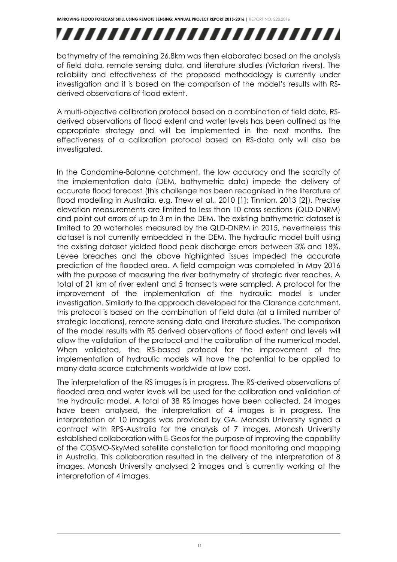# ,,,,,,,,,,,,,,,,,,,,,,,,,

bathymetry of the remaining 26.8km was then elaborated based on the analysis of field data, remote sensing data, and literature studies (Victorian rivers). The reliability and effectiveness of the proposed methodology is currently under investigation and it is based on the comparison of the model's results with RSderived observations of flood extent.

A multi-objective calibration protocol based on a combination of field data, RSderived observations of flood extent and water levels has been outlined as the appropriate strategy and will be implemented in the next months. The effectiveness of a calibration protocol based on RS-data only will also be investigated.

In the Condamine-Balonne catchment, the low accuracy and the scarcity of the implementation data (DEM, bathymetric data) impede the delivery of accurate flood forecast (this challenge has been recognised in the literature of flood modelling in Australia, e.g. Thew et al., 2010 [1]; Tinnion, 2013 [2]). Precise elevation measurements are limited to less than 10 cross sections (QLD-DNRM) and point out errors of up to 3 m in the DEM. The existing bathymetric dataset is limited to 20 waterholes measured by the QLD-DNRM in 2015, nevertheless this dataset is not currently embedded in the DEM. The hydraulic model built using the existing dataset yielded flood peak discharge errors between 3% and 18%. Levee breaches and the above highlighted issues impeded the accurate prediction of the flooded area. A field campaign was completed in May 2016 with the purpose of measuring the river bathymetry of strategic river reaches. A total of 21 km of river extent and 5 transects were sampled. A protocol for the improvement of the implementation of the hydraulic model is under investigation. Similarly to the approach developed for the Clarence catchment, this protocol is based on the combination of field data (at a limited number of strategic locations), remote sensing data and literature studies. The comparison of the model results with RS derived observations of flood extent and levels will allow the validation of the protocol and the calibration of the numerical model. When validated, the RS-based protocol for the improvement of the implementation of hydraulic models will have the potential to be applied to many data-scarce catchments worldwide at low cost.

The interpretation of the RS images is in progress. The RS-derived observations of flooded area and water levels will be used for the calibration and validation of the hydraulic model. A total of 38 RS images have been collected, 24 images have been analysed, the interpretation of 4 images is in progress. The interpretation of 10 images was provided by GA. Monash University signed a contract with RPS-Australia for the analysis of 7 images. Monash University established collaboration with E-Geos for the purpose of improving the capability of the COSMO-SkyMed satellite constellation for flood monitoring and mapping in Australia. This collaboration resulted in the delivery of the interpretation of 8 images. Monash University analysed 2 images and is currently working at the interpretation of 4 images.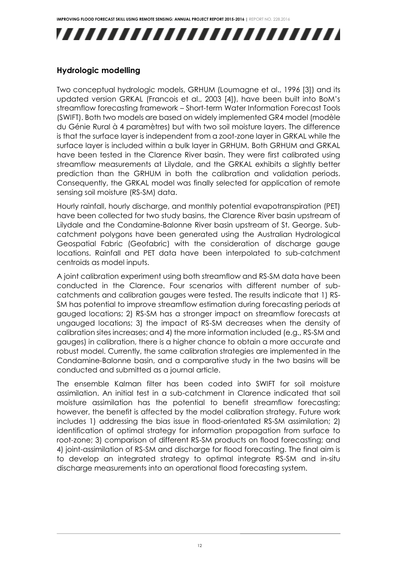

## **Hydrologic modelling**

Two conceptual hydrologic models, GRHUM (Loumagne et al., 1996 [3]) and its updated version GRKAL (Francois et al., 2003 [4]), have been built into BoM's streamflow forecasting framework – Short-term Water Information Forecast Tools (SWIFT). Both two models are based on widely implemented GR4 model (modèle du Génie Rural à 4 paramètres) but with two soil moisture layers. The difference is that the surface layer is independent from a zoot-zone layer in GRKAL while the surface layer is included within a bulk layer in GRHUM. Both GRHUM and GRKAL have been tested in the Clarence River basin. They were first calibrated using streamflow measurements at Lilydale, and the GRKAL exhibits a slightly better prediction than the GRHUM in both the calibration and validation periods. Consequently, the GRKAL model was finally selected for application of remote sensing soil moisture (RS-SM) data.

Hourly rainfall, hourly discharge, and monthly potential evapotranspiration (PET) have been collected for two study basins, the Clarence River basin upstream of Lilydale and the Condamine-Balonne River basin upstream of St. George. Subcatchment polygons have been generated using the Australian Hydrological Geospatial Fabric (Geofabric) with the consideration of discharge gauge locations. Rainfall and PET data have been interpolated to sub-catchment centroids as model inputs.

A joint calibration experiment using both streamflow and RS-SM data have been conducted in the Clarence. Four scenarios with different number of subcatchments and calibration gauges were tested. The results indicate that 1) RS-SM has potential to improve streamflow estimation during forecasting periods at gauged locations; 2) RS-SM has a stronger impact on streamflow forecasts at ungauged locations; 3) the impact of RS-SM decreases when the density of calibration sites increases; and 4) the more information included (e.g., RS-SM and gauges) in calibration, there is a higher chance to obtain a more accurate and robust model. Currently, the same calibration strategies are implemented in the Condamine-Balonne basin, and a comparative study in the two basins will be conducted and submitted as a journal article.

The ensemble Kalman filter has been coded into SWIFT for soil moisture assimilation. An initial test in a sub-catchment in Clarence indicated that soil moisture assimilation has the potential to benefit streamflow forecasting; however, the benefit is affected by the model calibration strategy. Future work includes 1) addressing the bias issue in flood-orientated RS-SM assimilation; 2) identification of optimal strategy for information propagation from surface to root-zone; 3) comparison of different RS-SM products on flood forecasting; and 4) joint-assimilation of RS-SM and discharge for flood forecasting. The final aim is to develop an integrated strategy to optimal integrate RS-SM and in-situ discharge measurements into an operational flood forecasting system.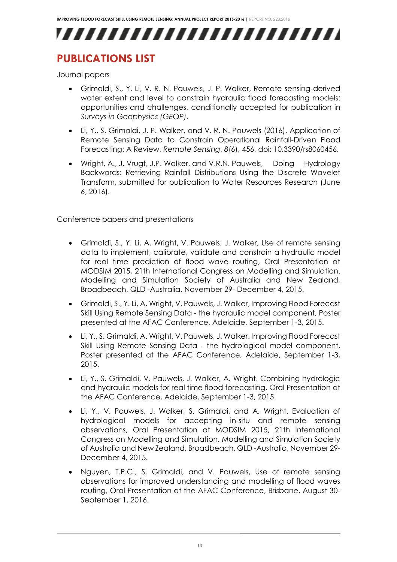## <span id="page-13-0"></span>**PUBLICATIONS LIST**

Journal papers

- Grimaldi, S., Y. Li, V. R. N. Pauwels, J. P. Walker, Remote sensing-derived water extent and level to constrain hydraulic flood forecasting models: opportunities and challenges, conditionally accepted for publication in *Surveys in Geophysics (GEOP)*.
- Li, Y., S. Grimaldi, J. P. Walker, and V. R. N. Pauwels (2016), Application of Remote Sensing Data to Constrain Operational Rainfall-Driven Flood Forecasting: A Review, *Remote Sensing*, *8*(6), 456, doi: 10.3390/rs8060456.
- Wright, A., J. Vrugt, J.P. Walker, and V.R.N. Pauwels, Doing Hydrology Backwards: Retrieving Rainfall Distributions Using the Discrete Wavelet Transform, submitted for publication to Water Resources Research (June 6, 2016).

Conference papers and presentations

- Grimaldi, S., Y. Li, A. Wright, V. Pauwels, J. Walker, Use of remote sensing data to implement, calibrate, validate and constrain a hydraulic model for real time prediction of flood wave routing, Oral Presentation at MODSIM 2015, 21th International Congress on Modelling and Simulation. Modelling and Simulation Society of Australia and New Zealand, Broadbeach, QLD -Australia, November 29- December 4, 2015.
- Grimaldi, S., Y. Li, A. Wright, V. Pauwels, J. Walker, Improving Flood Forecast Skill Using Remote Sensing Data - the hydraulic model component, Poster presented at the AFAC Conference, Adelaide, September 1-3, 2015.
- Li, Y., S. Grimaldi, A. Wright, V. Pauwels, J. Walker. Improving Flood Forecast Skill Using Remote Sensing Data - the hydrological model component, Poster presented at the AFAC Conference, Adelaide, September 1-3, 2015.
- Li, Y., S. Grimaldi, V. Pauwels, J. Walker, A. Wright. Combining hydrologic and hydraulic models for real time flood forecasting, Oral Presentation at the AFAC Conference, Adelaide, September 1-3, 2015.
- Li, Y., V. Pauwels, J. Walker, S. Grimaldi, and A. Wright. Evaluation of hydrological models for accepting in-situ and remote sensing observations, Oral Presentation at MODSIM 2015, 21th International Congress on Modelling and Simulation. Modelling and Simulation Society of Australia and New Zealand, Broadbeach, QLD -Australia, November 29- December 4, 2015.
- Nguyen, T.P.C., S. Grimaldi, and V. Pauwels, Use of remote sensing observations for improved understanding and modelling of flood waves routing, Oral Presentation at the AFAC Conference, Brisbane, August 30- September 1, 2016.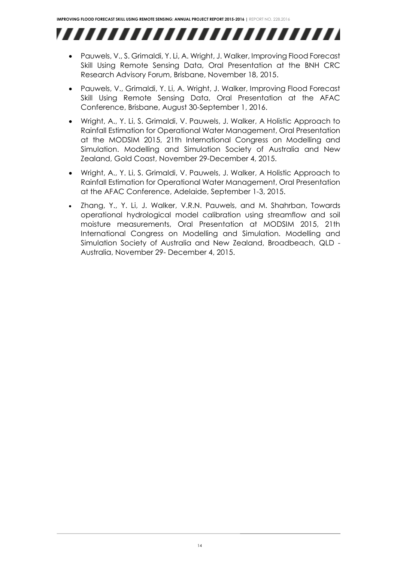- Pauwels, V., S. Grimaldi, Y. Li, A. Wright, J. Walker, Improving Flood Forecast Skill Using Remote Sensing Data, Oral Presentation at the BNH CRC Research Advisory Forum, Brisbane, November 18, 2015.
- Pauwels, V., Grimaldi, Y. Li, A. Wright, J. Walker, Improving Flood Forecast Skill Using Remote Sensing Data, Oral Presentation at the AFAC Conference, Brisbane, August 30-September 1, 2016.
- Wright, A., Y. Li, S. Grimaldi, V. Pauwels, J. Walker, A Holistic Approach to Rainfall Estimation for Operational Water Management, Oral Presentation at the MODSIM 2015, 21th International Congress on Modelling and Simulation. Modelling and Simulation Society of Australia and New Zealand, Gold Coast, November 29-December 4, 2015.
- Wright, A., Y. Li, S. Grimaldi, V. Pauwels, J. Walker, A Holistic Approach to Rainfall Estimation for Operational Water Management, Oral Presentation at the AFAC Conference, Adelaide, September 1-3, 2015.
- Zhang, Y., Y. Li, J. Walker, V.R.N. Pauwels, and M. Shahrban, Towards operational hydrological model calibration using streamflow and soil moisture measurements, Oral Presentation at MODSIM 2015, 21th International Congress on Modelling and Simulation. Modelling and Simulation Society of Australia and New Zealand, Broadbeach, QLD - Australia, November 29- December 4, 2015.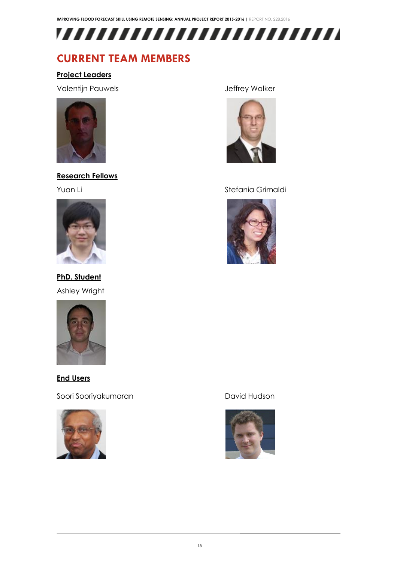

## <span id="page-15-0"></span>**CURRENT TEAM MEMBERS**

### **Project Leaders**

Valentijn Pauwels Jeffrey Walker



## **Research Fellows**



**PhD. Student** Ashley Wright



**End Users**

Soori Sooriyakumaran dari dari dari David Hudson





### Yuan Li Stefania Grimaldi